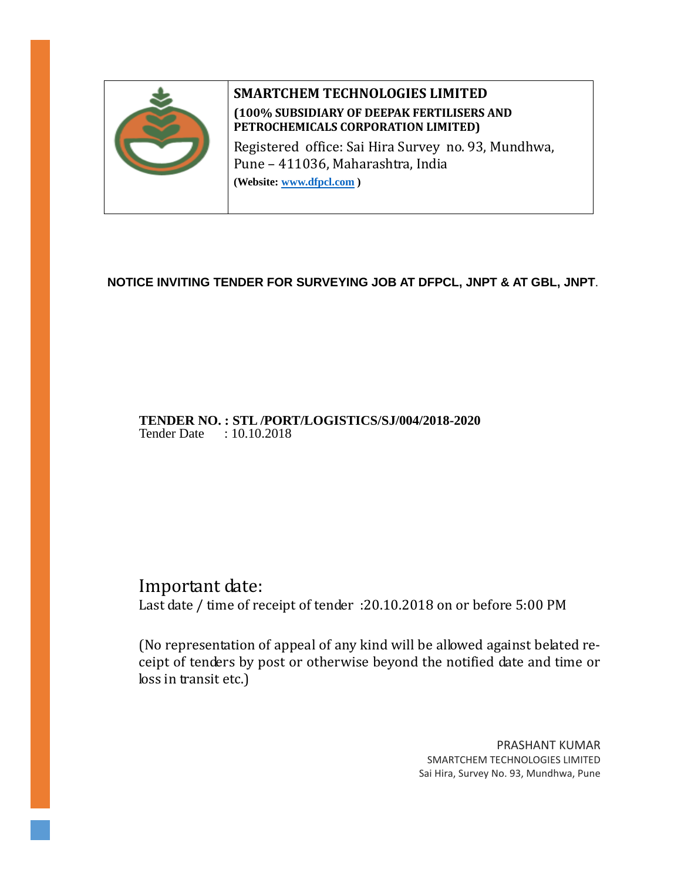

# **SMARTCHEM TECHNOLOGIES LIMITED (100% SUBSIDIARY OF DEEPAK FERTILISERS AND PETROCHEMICALS CORPORATION LIMITED)**

Registered office: Sai Hira Survey no. 93, Mundhwa, Pune – 411036, Maharashtra, India

**(Website: [www.dfpcl.com](http://www.dfpcl.com/) )**

## **NOTICE INVITING TENDER FOR SURVEYING JOB AT DFPCL, JNPT & AT GBL, JNPT**.

### **TENDER NO. : STL /PORT/LOGISTICS/SJ/004/2018-2020**  Tender Date : 10.10.2018

# Important date:

Last date / time of receipt of tender :20.10.2018 on or before 5:00 PM

(No representation of appeal of any kind will be allowed against belated receipt of tenders by post or otherwise beyond the notified date and time or loss in transit etc.)

> PRASHANT KUMAR SMARTCHEM TECHNOLOGIES LIMITED Sai Hira, Survey No. 93, Mundhwa, Pune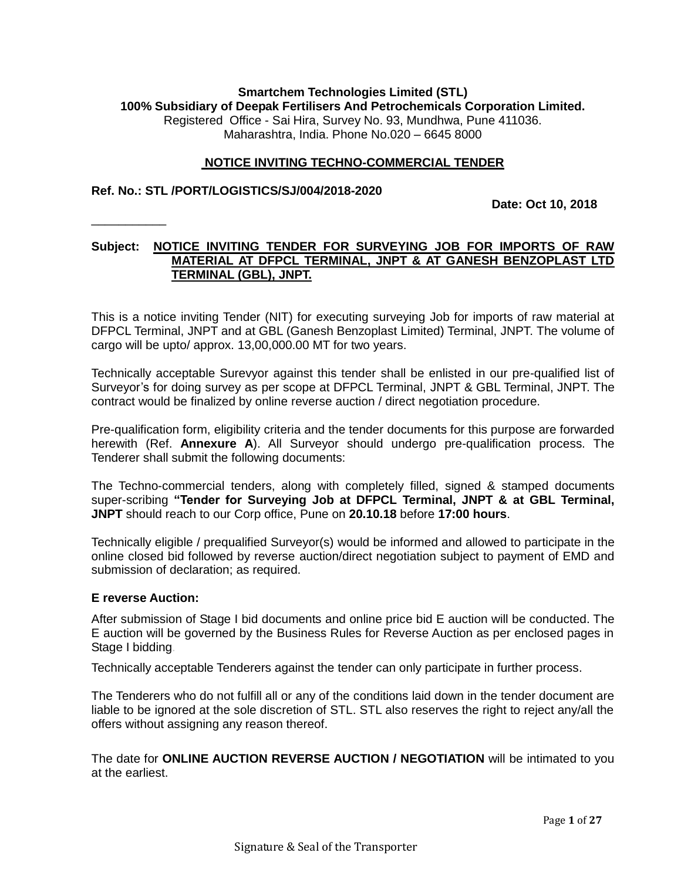#### **Smartchem Technologies Limited (STL) 100% Subsidiary of Deepak Fertilisers And Petrochemicals Corporation Limited.** Registered Office - Sai Hira, Survey No. 93, Mundhwa, Pune 411036. Maharashtra, India. Phone No.020 – 6645 8000

#### **NOTICE INVITING TECHNO-COMMERCIAL TENDER**

#### **Ref. No.: STL /PORT/LOGISTICS/SJ/004/2018-2020**

\_\_\_\_\_\_\_\_\_\_\_

**Date: Oct 10, 2018**

### **Subject: NOTICE INVITING TENDER FOR SURVEYING JOB FOR IMPORTS OF RAW MATERIAL AT DFPCL TERMINAL, JNPT & AT GANESH BENZOPLAST LTD TERMINAL (GBL), JNPT.**

This is a notice inviting Tender (NIT) for executing surveying Job for imports of raw material at DFPCL Terminal, JNPT and at GBL (Ganesh Benzoplast Limited) Terminal, JNPT. The volume of cargo will be upto/ approx. 13,00,000.00 MT for two years.

Technically acceptable Surevyor against this tender shall be enlisted in our pre-qualified list of Surveyor's for doing survey as per scope at DFPCL Terminal, JNPT & GBL Terminal, JNPT. The contract would be finalized by online reverse auction / direct negotiation procedure.

Pre-qualification form, eligibility criteria and the tender documents for this purpose are forwarded herewith (Ref. **Annexure A**). All Surveyor should undergo pre-qualification process. The Tenderer shall submit the following documents:

The Techno-commercial tenders, along with completely filled, signed & stamped documents super-scribing **"Tender for Surveying Job at DFPCL Terminal, JNPT & at GBL Terminal, JNPT** should reach to our Corp office, Pune on **20.10.18** before **17:00 hours**.

Technically eligible / prequalified Surveyor(s) would be informed and allowed to participate in the online closed bid followed by reverse auction/direct negotiation subject to payment of EMD and submission of declaration; as required.

#### **E reverse Auction:**

After submission of Stage I bid documents and online price bid E auction will be conducted. The E auction will be governed by the Business Rules for Reverse Auction as per enclosed pages in Stage I bidding.

Technically acceptable Tenderers against the tender can only participate in further process.

The Tenderers who do not fulfill all or any of the conditions laid down in the tender document are liable to be ignored at the sole discretion of STL. STL also reserves the right to reject any/all the offers without assigning any reason thereof.

The date for **ONLINE AUCTION REVERSE AUCTION / NEGOTIATION** will be intimated to you at the earliest.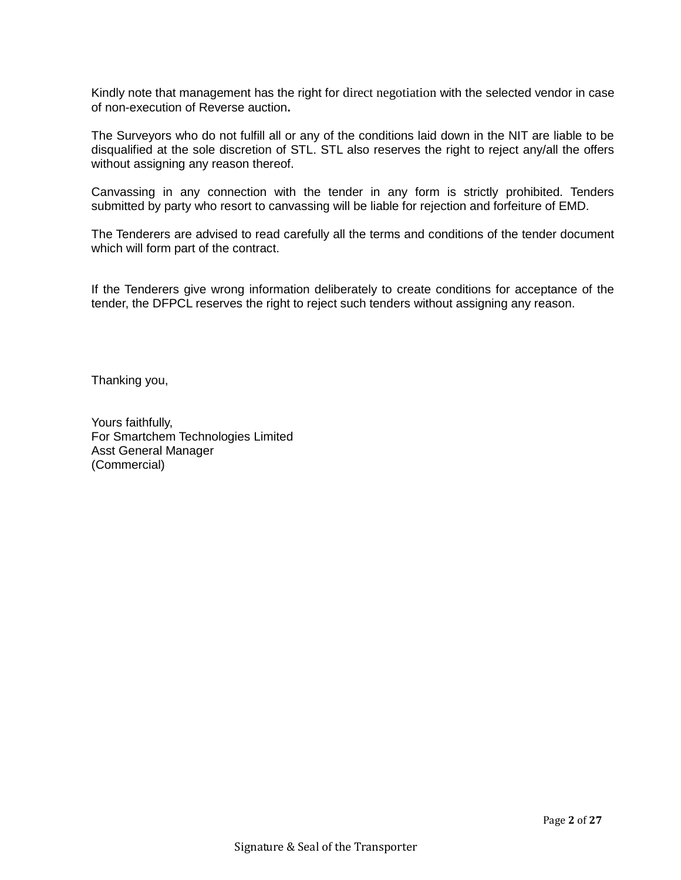Kindly note that management has the right for direct negotiation with the selected vendor in case of non-execution of Reverse auction**.**

The Surveyors who do not fulfill all or any of the conditions laid down in the NIT are liable to be disqualified at the sole discretion of STL. STL also reserves the right to reject any/all the offers without assigning any reason thereof.

Canvassing in any connection with the tender in any form is strictly prohibited. Tenders submitted by party who resort to canvassing will be liable for rejection and forfeiture of EMD.

The Tenderers are advised to read carefully all the terms and conditions of the tender document which will form part of the contract.

If the Tenderers give wrong information deliberately to create conditions for acceptance of the tender, the DFPCL reserves the right to reject such tenders without assigning any reason.

Thanking you,

Yours faithfully, For Smartchem Technologies Limited Asst General Manager (Commercial)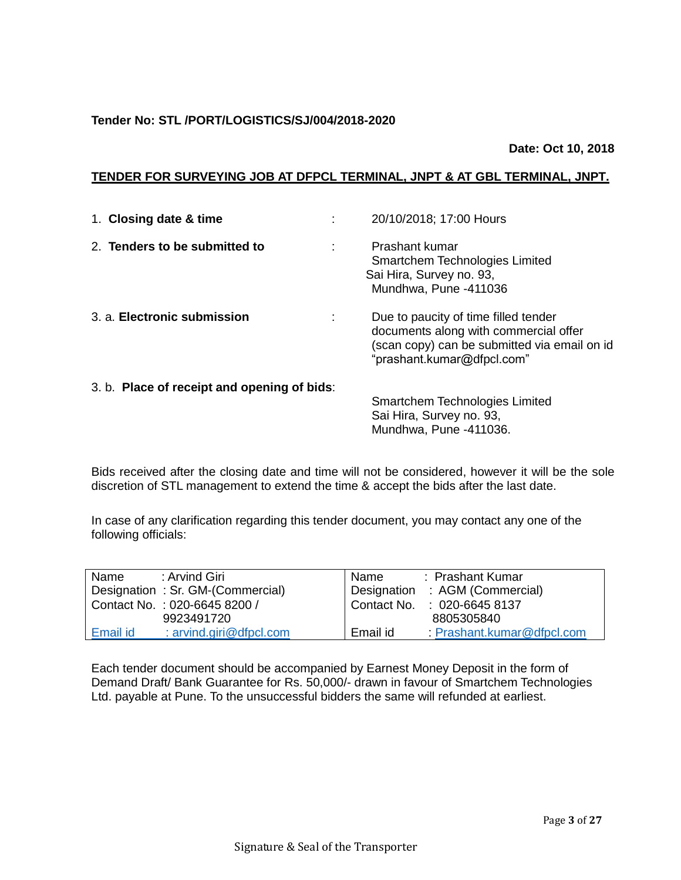### **Tender No: STL /PORT/LOGISTICS/SJ/004/2018-2020**

#### **Date: Oct 10, 2018**

### **TENDER FOR SURVEYING JOB AT DFPCL TERMINAL, JNPT & AT GBL TERMINAL, JNPT.**

| 1. Closing date & time                      |   | 20/10/2018; 17:00 Hours                                                                                                                                     |
|---------------------------------------------|---|-------------------------------------------------------------------------------------------------------------------------------------------------------------|
| 2. Tenders to be submitted to               | ÷ | Prashant kumar<br>Smartchem Technologies Limited<br>Sai Hira, Survey no. 93,<br>Mundhwa, Pune -411036                                                       |
| 3. a. Electronic submission                 |   | Due to paucity of time filled tender<br>documents along with commercial offer<br>(scan copy) can be submitted via email on id<br>"prashant.kumar@dfpcl.com" |
| 3. b. Place of receipt and opening of bids: |   | Smartchem Technologies Limited<br>Sai Hira, Survey no. 93,<br>Mundhwa, Pune -411036.                                                                        |

Bids received after the closing date and time will not be considered, however it will be the sole discretion of STL management to extend the time & accept the bids after the last date.

In case of any clarification regarding this tender document, you may contact any one of the following officials:

| Name     | : Arvind Giri                    | Name     | : Prashant Kumar               |
|----------|----------------------------------|----------|--------------------------------|
|          | Designation: Sr. GM-(Commercial) |          | Designation : AGM (Commercial) |
|          | Contact No.: 020-6645 8200 /     |          | Contact No. : 020-6645 8137    |
|          | 9923491720                       |          | 8805305840                     |
| Email id | : $arvind.$ giri@dfpcl.com       | Email id | Prashant.kumar@dfpcl.com       |

Each tender document should be accompanied by Earnest Money Deposit in the form of Demand Draft/ Bank Guarantee for Rs. 50,000/- drawn in favour of Smartchem Technologies Ltd. payable at Pune. To the unsuccessful bidders the same will refunded at earliest.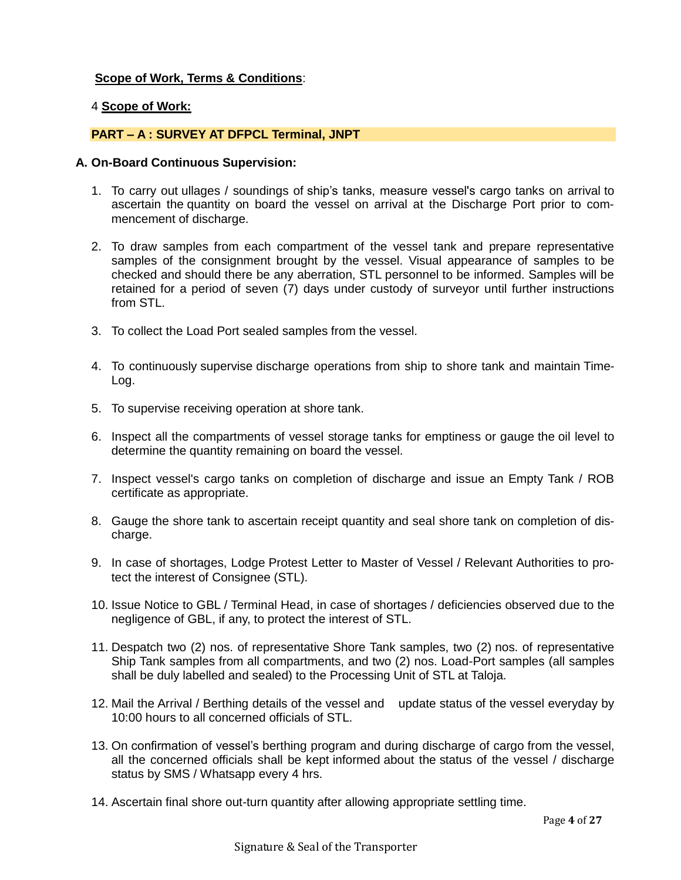### **Scope of Work, Terms & Conditions**:

#### 4 **Scope of Work:**

#### **PART – A : SURVEY AT DFPCL Terminal, JNPT**

#### **A. On-Board Continuous Supervision:**

- 1. To carry out ullages / soundings of ship's tanks, measure vessel's cargo tanks on arrival to ascertain the quantity on board the vessel on arrival at the Discharge Port prior to commencement of discharge.
- 2. To draw samples from each compartment of the vessel tank and prepare representative samples of the consignment brought by the vessel. Visual appearance of samples to be checked and should there be any aberration, STL personnel to be informed. Samples will be retained for a period of seven (7) days under custody of surveyor until further instructions from STL.
- 3. To collect the Load Port sealed samples from the vessel.
- 4. To continuously supervise discharge operations from ship to shore tank and maintain Time-Log.
- 5. To supervise receiving operation at shore tank.
- 6. Inspect all the compartments of vessel storage tanks for emptiness or gauge the oil level to determine the quantity remaining on board the vessel.
- 7. Inspect vessel's cargo tanks on completion of discharge and issue an Empty Tank / ROB certificate as appropriate.
- 8. Gauge the shore tank to ascertain receipt quantity and seal shore tank on completion of discharge.
- 9. In case of shortages, Lodge Protest Letter to Master of Vessel / Relevant Authorities to protect the interest of Consignee (STL).
- 10. Issue Notice to GBL / Terminal Head, in case of shortages / deficiencies observed due to the negligence of GBL, if any, to protect the interest of STL.
- 11. Despatch two (2) nos. of representative Shore Tank samples, two (2) nos. of representative Ship Tank samples from all compartments, and two (2) nos. Load-Port samples (all samples shall be duly labelled and sealed) to the Processing Unit of STL at Taloja.
- 12. Mail the Arrival / Berthing details of the vessel and update status of the vessel everyday by 10:00 hours to all concerned officials of STL.
- 13. On confirmation of vessel's berthing program and during discharge of cargo from the vessel, all the concerned officials shall be kept informed about the status of the vessel / discharge status by SMS / Whatsapp every 4 hrs.
- 14. Ascertain final shore out-turn quantity after allowing appropriate settling time.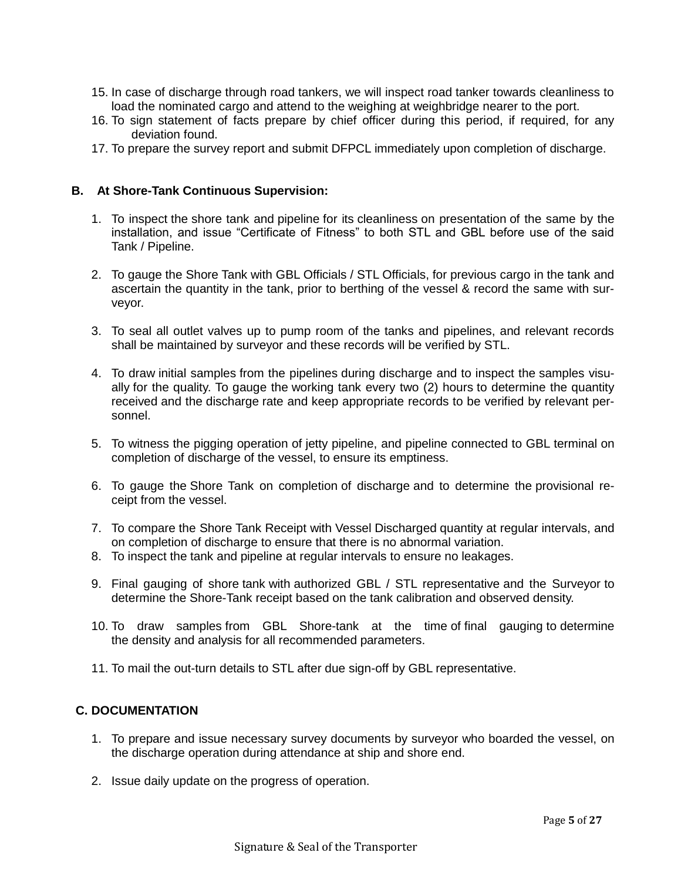- 15. In case of discharge through road tankers, we will inspect road tanker towards cleanliness to load the nominated cargo and attend to the weighing at weighbridge nearer to the port.
- 16. To sign statement of facts prepare by chief officer during this period, if required, for any deviation found.
- 17. To prepare the survey report and submit DFPCL immediately upon completion of discharge.

#### **B. At Shore-Tank Continuous Supervision:**

- 1. To inspect the shore tank and pipeline for its cleanliness on presentation of the same by the installation, and issue "Certificate of Fitness" to both STL and GBL before use of the said Tank / Pipeline.
- 2. To gauge the Shore Tank with GBL Officials / STL Officials, for previous cargo in the tank and ascertain the quantity in the tank, prior to berthing of the vessel & record the same with surveyor.
- 3. To seal all outlet valves up to pump room of the tanks and pipelines, and relevant records shall be maintained by surveyor and these records will be verified by STL.
- 4. To draw initial samples from the pipelines during discharge and to inspect the samples visually for the quality. To gauge the working tank every two (2) hours to determine the quantity received and the discharge rate and keep appropriate records to be verified by relevant personnel.
- 5. To witness the pigging operation of jetty pipeline, and pipeline connected to GBL terminal on completion of discharge of the vessel, to ensure its emptiness.
- 6. To gauge the Shore Tank on completion of discharge and to determine the provisional receipt from the vessel.
- 7. To compare the Shore Tank Receipt with Vessel Discharged quantity at regular intervals, and on completion of discharge to ensure that there is no abnormal variation.
- 8. To inspect the tank and pipeline at regular intervals to ensure no leakages.
- 9. Final gauging of shore tank with authorized GBL / STL representative and the Surveyor to determine the Shore-Tank receipt based on the tank calibration and observed density.
- 10. To draw samples from GBL Shore-tank at the time of final gauging to determine the density and analysis for all recommended parameters.
- 11. To mail the out-turn details to STL after due sign-off by GBL representative.

### **C. DOCUMENTATION**

- 1. To prepare and issue necessary survey documents by surveyor who boarded the vessel, on the discharge operation during attendance at ship and shore end.
- 2. Issue daily update on the progress of operation.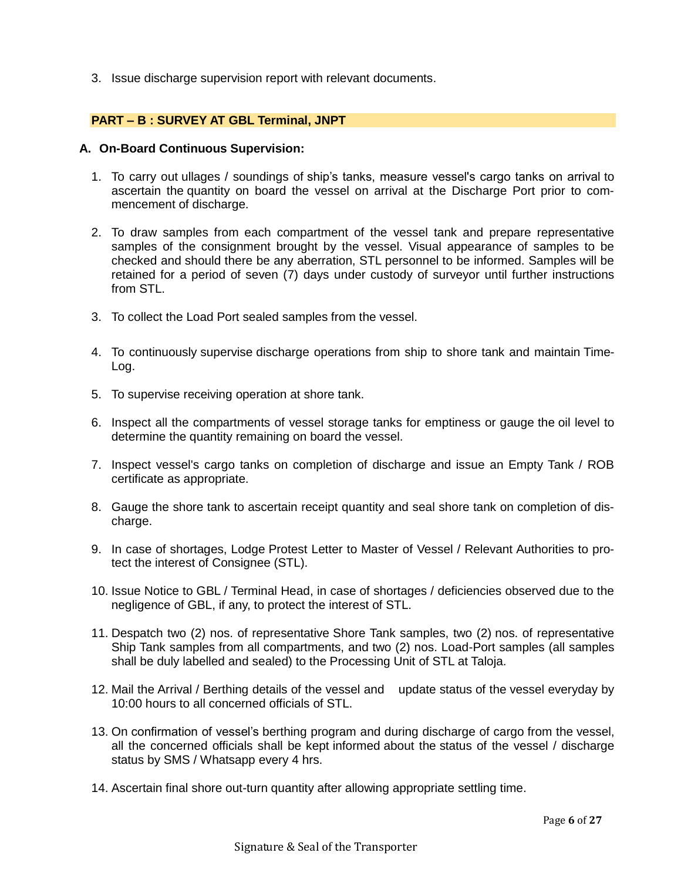3. Issue discharge supervision report with relevant documents.

#### **PART – B : SURVEY AT GBL Terminal, JNPT**

#### **A. On-Board Continuous Supervision:**

- 1. To carry out ullages / soundings of ship's tanks, measure vessel's cargo tanks on arrival to ascertain the quantity on board the vessel on arrival at the Discharge Port prior to commencement of discharge.
- 2. To draw samples from each compartment of the vessel tank and prepare representative samples of the consignment brought by the vessel. Visual appearance of samples to be checked and should there be any aberration, STL personnel to be informed. Samples will be retained for a period of seven (7) days under custody of surveyor until further instructions from STL.
- 3. To collect the Load Port sealed samples from the vessel.
- 4. To continuously supervise discharge operations from ship to shore tank and maintain Time-Log.
- 5. To supervise receiving operation at shore tank.
- 6. Inspect all the compartments of vessel storage tanks for emptiness or gauge the oil level to determine the quantity remaining on board the vessel.
- 7. Inspect vessel's cargo tanks on completion of discharge and issue an Empty Tank / ROB certificate as appropriate.
- 8. Gauge the shore tank to ascertain receipt quantity and seal shore tank on completion of discharge.
- 9. In case of shortages, Lodge Protest Letter to Master of Vessel / Relevant Authorities to protect the interest of Consignee (STL).
- 10. Issue Notice to GBL / Terminal Head, in case of shortages / deficiencies observed due to the negligence of GBL, if any, to protect the interest of STL.
- 11. Despatch two (2) nos. of representative Shore Tank samples, two (2) nos. of representative Ship Tank samples from all compartments, and two (2) nos. Load-Port samples (all samples shall be duly labelled and sealed) to the Processing Unit of STL at Taloja.
- 12. Mail the Arrival / Berthing details of the vessel and update status of the vessel everyday by 10:00 hours to all concerned officials of STL.
- 13. On confirmation of vessel's berthing program and during discharge of cargo from the vessel, all the concerned officials shall be kept informed about the status of the vessel / discharge status by SMS / Whatsapp every 4 hrs.
- 14. Ascertain final shore out-turn quantity after allowing appropriate settling time.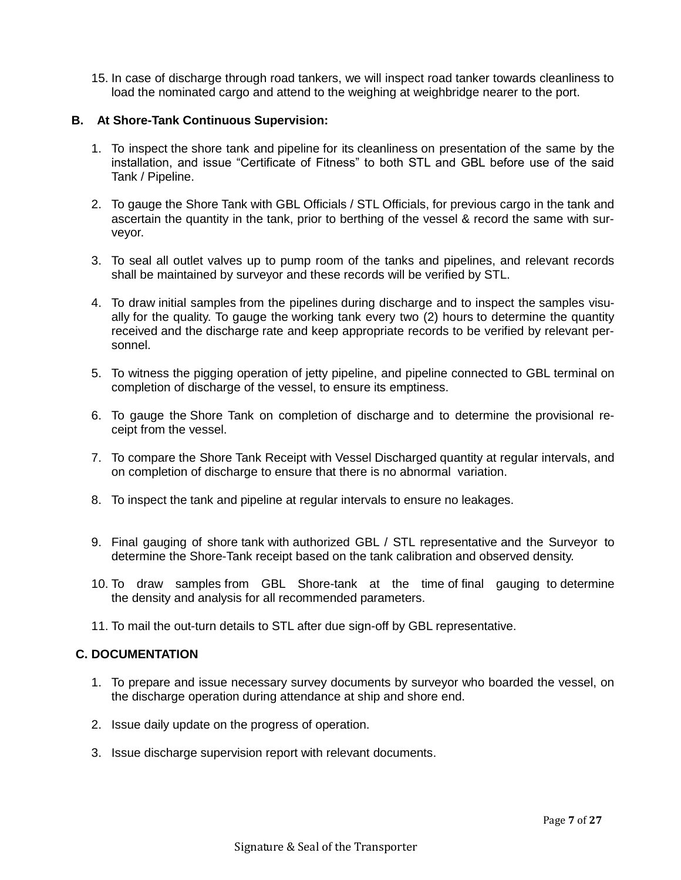15. In case of discharge through road tankers, we will inspect road tanker towards cleanliness to load the nominated cargo and attend to the weighing at weighbridge nearer to the port.

### **B. At Shore-Tank Continuous Supervision:**

- 1. To inspect the shore tank and pipeline for its cleanliness on presentation of the same by the installation, and issue "Certificate of Fitness" to both STL and GBL before use of the said Tank / Pipeline.
- 2. To gauge the Shore Tank with GBL Officials / STL Officials, for previous cargo in the tank and ascertain the quantity in the tank, prior to berthing of the vessel & record the same with surveyor.
- 3. To seal all outlet valves up to pump room of the tanks and pipelines, and relevant records shall be maintained by surveyor and these records will be verified by STL.
- 4. To draw initial samples from the pipelines during discharge and to inspect the samples visually for the quality. To gauge the working tank every two (2) hours to determine the quantity received and the discharge rate and keep appropriate records to be verified by relevant personnel.
- 5. To witness the pigging operation of jetty pipeline, and pipeline connected to GBL terminal on completion of discharge of the vessel, to ensure its emptiness.
- 6. To gauge the Shore Tank on completion of discharge and to determine the provisional receipt from the vessel.
- 7. To compare the Shore Tank Receipt with Vessel Discharged quantity at regular intervals, and on completion of discharge to ensure that there is no abnormal variation.
- 8. To inspect the tank and pipeline at regular intervals to ensure no leakages.
- 9. Final gauging of shore tank with authorized GBL / STL representative and the Surveyor to determine the Shore-Tank receipt based on the tank calibration and observed density.
- 10. To draw samples from GBL Shore-tank at the time of final gauging to determine the density and analysis for all recommended parameters.
- 11. To mail the out-turn details to STL after due sign-off by GBL representative.

### **C. DOCUMENTATION**

- 1. To prepare and issue necessary survey documents by surveyor who boarded the vessel, on the discharge operation during attendance at ship and shore end.
- 2. Issue daily update on the progress of operation.
- 3. Issue discharge supervision report with relevant documents.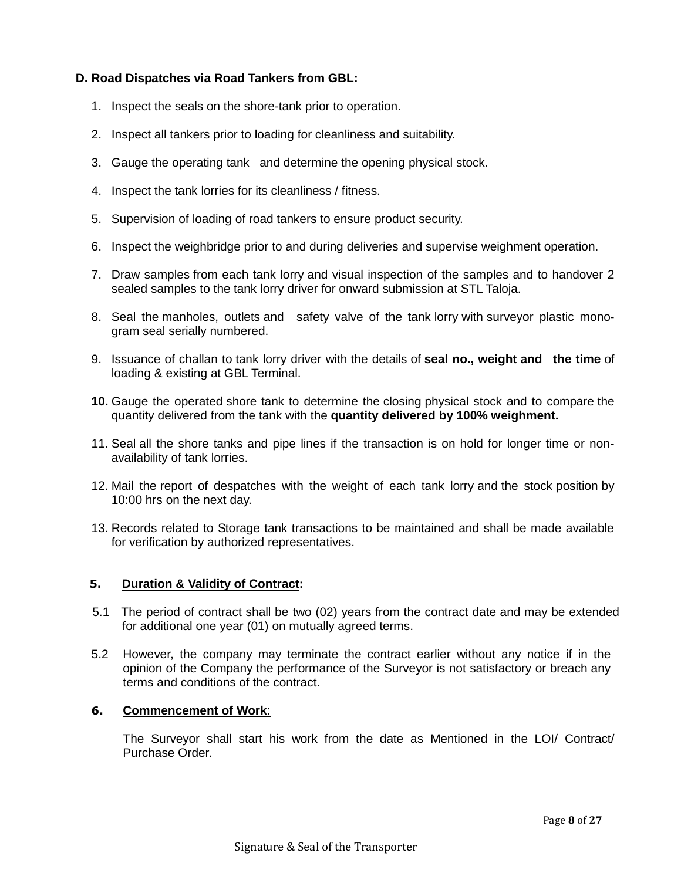### **D. Road Dispatches via Road Tankers from GBL:**

- 1. Inspect the seals on the shore-tank prior to operation.
- 2. Inspect all tankers prior to loading for cleanliness and suitability.
- 3. Gauge the operating tank and determine the opening physical stock.
- 4. Inspect the tank lorries for its cleanliness / fitness.
- 5. Supervision of loading of road tankers to ensure product security.
- 6. Inspect the weighbridge prior to and during deliveries and supervise weighment operation.
- 7. Draw samples from each tank lorry and visual inspection of the samples and to handover 2 sealed samples to the tank lorry driver for onward submission at STL Taloja.
- 8. Seal the manholes, outlets and safety valve of the tank lorry with surveyor plastic monogram seal serially numbered.
- 9. Issuance of challan to tank lorry driver with the details of **seal no., weight and the time** of loading & existing at GBL Terminal.
- **10.** Gauge the operated shore tank to determine the closing physical stock and to compare the quantity delivered from the tank with the **quantity delivered by 100% weighment.**
- 11. Seal all the shore tanks and pipe lines if the transaction is on hold for longer time or nonavailability of tank lorries.
- 12. Mail the report of despatches with the weight of each tank lorry and the stock position by 10:00 hrs on the next day.
- 13. Records related to Storage tank transactions to be maintained and shall be made available for verification by authorized representatives.

#### **5. Duration & Validity of Contract:**

- 5.1 The period of contract shall be two (02) years from the contract date and may be extended for additional one year (01) on mutually agreed terms.
- 5.2 However, the company may terminate the contract earlier without any notice if in the opinion of the Company the performance of the Surveyor is not satisfactory or breach any terms and conditions of the contract.

#### **6. Commencement of Work**:

The Surveyor shall start his work from the date as Mentioned in the LOI/ Contract/ Purchase Order.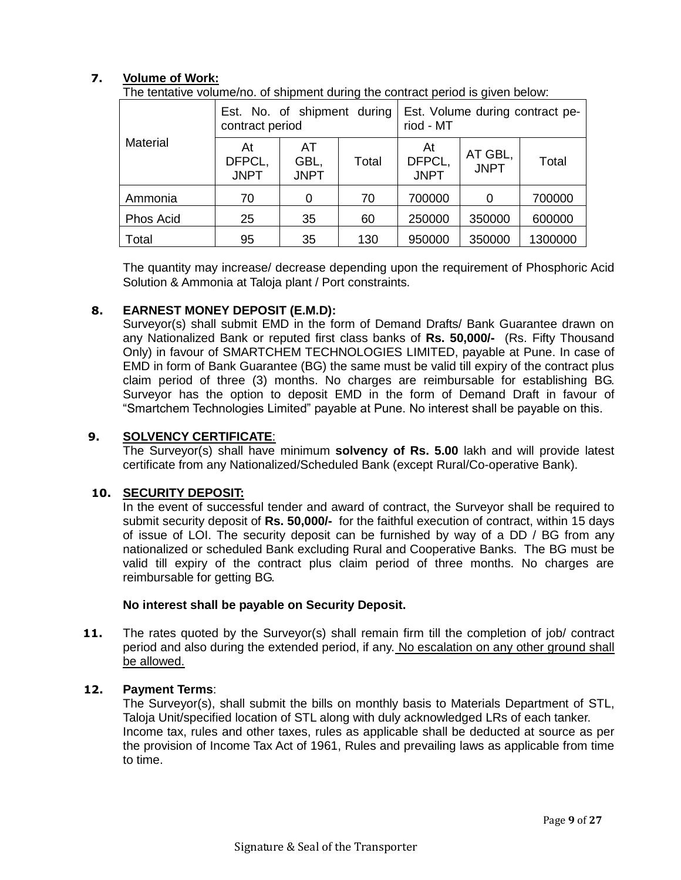### **7. Volume of Work:**

The tentative volume/no. of shipment during the contract period is given below:

|                 | Est. No. of shipment during<br>contract period |                                    |     | Est. Volume during contract pe-<br>riod - MT |                        |         |
|-----------------|------------------------------------------------|------------------------------------|-----|----------------------------------------------|------------------------|---------|
| <b>Material</b> | At<br>DFPCL,<br><b>JNPT</b>                    | AT<br>GBL,<br>Total<br><b>JNPT</b> |     | At<br>DFPCL,<br><b>JNPT</b>                  | AT GBL,<br><b>JNPT</b> | Total   |
| Ammonia         | 70                                             | 0                                  | 70  | 700000                                       |                        | 700000  |
| Phos Acid       | 25                                             | 35                                 | 60  | 250000                                       | 350000                 | 600000  |
| Total           | 95                                             | 35                                 | 130 | 950000                                       | 350000                 | 1300000 |

The quantity may increase/ decrease depending upon the requirement of Phosphoric Acid Solution & Ammonia at Taloja plant / Port constraints.

### **8. EARNEST MONEY DEPOSIT (E.M.D):**

Surveyor(s) shall submit EMD in the form of Demand Drafts/ Bank Guarantee drawn on any Nationalized Bank or reputed first class banks of **Rs. 50,000/-** (Rs. Fifty Thousand Only) in favour of SMARTCHEM TECHNOLOGIES LIMITED, payable at Pune. In case of EMD in form of Bank Guarantee (BG) the same must be valid till expiry of the contract plus claim period of three (3) months. No charges are reimbursable for establishing BG. Surveyor has the option to deposit EMD in the form of Demand Draft in favour of "Smartchem Technologies Limited" payable at Pune. No interest shall be payable on this.

### **9. SOLVENCY CERTIFICATE**:

The Surveyor(s) shall have minimum **solvency of Rs. 5.00** lakh and will provide latest certificate from any Nationalized/Scheduled Bank (except Rural/Co-operative Bank).

#### **10. SECURITY DEPOSIT:**

In the event of successful tender and award of contract, the Surveyor shall be required to submit security deposit of **Rs. 50,000/-** for the faithful execution of contract, within 15 days of issue of LOI. The security deposit can be furnished by way of a DD / BG from any nationalized or scheduled Bank excluding Rural and Cooperative Banks. The BG must be valid till expiry of the contract plus claim period of three months. No charges are reimbursable for getting BG.

#### **No interest shall be payable on Security Deposit.**

**11.** The rates quoted by the Surveyor(s) shall remain firm till the completion of job/ contract period and also during the extended period, if any. No escalation on any other ground shall be allowed.

#### **12. Payment Terms**:

The Surveyor(s), shall submit the bills on monthly basis to Materials Department of STL, Taloja Unit/specified location of STL along with duly acknowledged LRs of each tanker. Income tax, rules and other taxes, rules as applicable shall be deducted at source as per the provision of Income Tax Act of 1961, Rules and prevailing laws as applicable from time to time.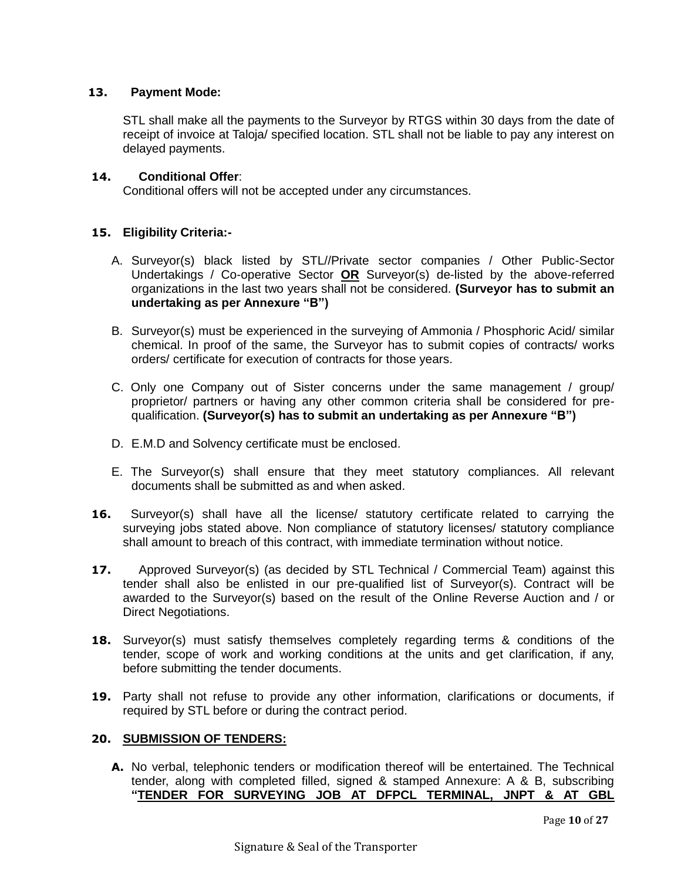### **13. Payment Mode:**

STL shall make all the payments to the Surveyor by RTGS within 30 days from the date of receipt of invoice at Taloja/ specified location. STL shall not be liable to pay any interest on delayed payments.

#### **14. Conditional Offer**:

Conditional offers will not be accepted under any circumstances.

### **15. Eligibility Criteria:-**

- A. Surveyor(s) black listed by STL//Private sector companies / Other Public-Sector Undertakings / Co-operative Sector **OR** Surveyor(s) de-listed by the above-referred organizations in the last two years shall not be considered. **(Surveyor has to submit an undertaking as per Annexure "B")**
- B. Surveyor(s) must be experienced in the surveying of Ammonia / Phosphoric Acid/ similar chemical. In proof of the same, the Surveyor has to submit copies of contracts/ works orders/ certificate for execution of contracts for those years.
- C. Only one Company out of Sister concerns under the same management / group/ proprietor/ partners or having any other common criteria shall be considered for prequalification. **(Surveyor(s) has to submit an undertaking as per Annexure "B")**
- D. E.M.D and Solvency certificate must be enclosed.
- E. The Surveyor(s) shall ensure that they meet statutory compliances. All relevant documents shall be submitted as and when asked.
- **16.** Surveyor(s) shall have all the license/ statutory certificate related to carrying the surveying jobs stated above. Non compliance of statutory licenses/ statutory compliance shall amount to breach of this contract, with immediate termination without notice.
- **17.** Approved Surveyor(s) (as decided by STL Technical / Commercial Team) against this tender shall also be enlisted in our pre-qualified list of Surveyor(s). Contract will be awarded to the Surveyor(s) based on the result of the Online Reverse Auction and / or Direct Negotiations.
- **18.** Surveyor(s) must satisfy themselves completely regarding terms & conditions of the tender, scope of work and working conditions at the units and get clarification, if any, before submitting the tender documents.
- **19.** Party shall not refuse to provide any other information, clarifications or documents, if required by STL before or during the contract period.

#### **20. SUBMISSION OF TENDERS:**

**A.** No verbal, telephonic tenders or modification thereof will be entertained. The Technical tender, along with completed filled, signed & stamped Annexure: A & B, subscribing **"TENDER FOR SURVEYING JOB AT DFPCL TERMINAL, JNPT & AT GBL**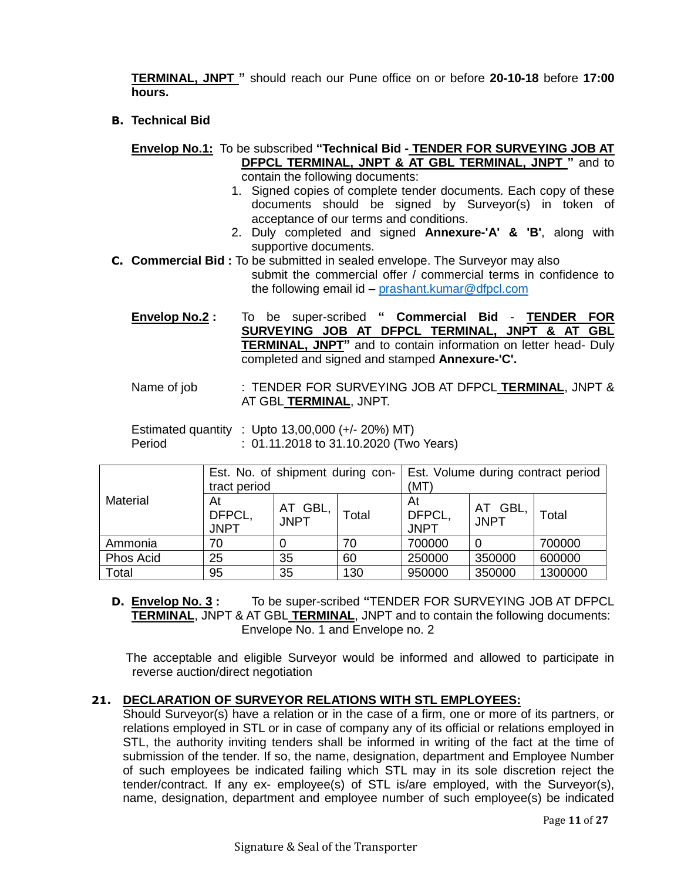**TERMINAL, JNPT "** should reach our Pune office on or before **20-10-18** before **17:00 hours.**

**B. Technical Bid**

**Envelop No.1:** To be subscribed **"Technical Bid - TENDER FOR SURVEYING JOB AT DFPCL TERMINAL, JNPT & AT GBL TERMINAL, JNPT "** and to contain the following documents:

- 1. Signed copies of complete tender documents. Each copy of these documents should be signed by Surveyor(s) in token of acceptance of our terms and conditions.
- 2. Duly completed and signed **Annexure-'A' & 'B'**, along with supportive documents.
- **C. Commercial Bid :** To be submitted in sealed envelope. The Surveyor may also submit the commercial offer / commercial terms in confidence to the following email id – [prashant.kumar@dfpcl.com](mailto:prashant.kumar@dfpcl.com)
	- **Envelop No.2 :** To be super-scribed **" Commercial Bid TENDER FOR SURVEYING JOB AT DFPCL TERMINAL, JNPT & AT GBL TERMINAL, JNPT"** and to contain information on letter head- Duly completed and signed and stamped **Annexure-'C'.**
	- Name of job : TENDER FOR SURVEYING JOB AT DFPCL **TERMINAL**, JNPT & AT GBL **TERMINAL**, JNPT.

|        | Estimated quantity : Upto $13,00,000$ (+/- 20%) MT) |  |
|--------|-----------------------------------------------------|--|
| Period | : 01.11.2018 to 31.10.2020 (Two Years)              |  |

|                 | Est. No. of shipment during con-<br>tract period |                        |       | Est. Volume during contract period<br>(MT) |                            |         |
|-----------------|--------------------------------------------------|------------------------|-------|--------------------------------------------|----------------------------|---------|
| <b>Material</b> | At<br>DFPCL,<br><b>JNPT</b>                      | AT GBL,<br><b>JNPT</b> | Total | At<br>DFPCL,<br><b>JNPT</b>                | GBL,<br>AT.<br><b>JNPT</b> | Total   |
| Ammonia         | 70                                               |                        | 70    | 700000                                     |                            | 700000  |
| Phos Acid       | 25                                               | 35                     | 60    | 250000                                     | 350000                     | 600000  |
| Total           | 95                                               | 35                     | 130   | 950000                                     | 350000                     | 1300000 |

**D. Envelop No. 3 :** To be super-scribed **"**TENDER FOR SURVEYING JOB AT DFPCL **TERMINAL**, JNPT & AT GBL **TERMINAL**, JNPT and to contain the following documents: Envelope No. 1 and Envelope no. 2

 The acceptable and eligible Surveyor would be informed and allowed to participate in reverse auction/direct negotiation

### **21. DECLARATION OF SURVEYOR RELATIONS WITH STL EMPLOYEES:**

Should Surveyor(s) have a relation or in the case of a firm, one or more of its partners, or relations employed in STL or in case of company any of its official or relations employed in STL, the authority inviting tenders shall be informed in writing of the fact at the time of submission of the tender. If so, the name, designation, department and Employee Number of such employees be indicated failing which STL may in its sole discretion reject the tender/contract. If any ex- employee(s) of STL is/are employed, with the Surveyor(s), name, designation, department and employee number of such employee(s) be indicated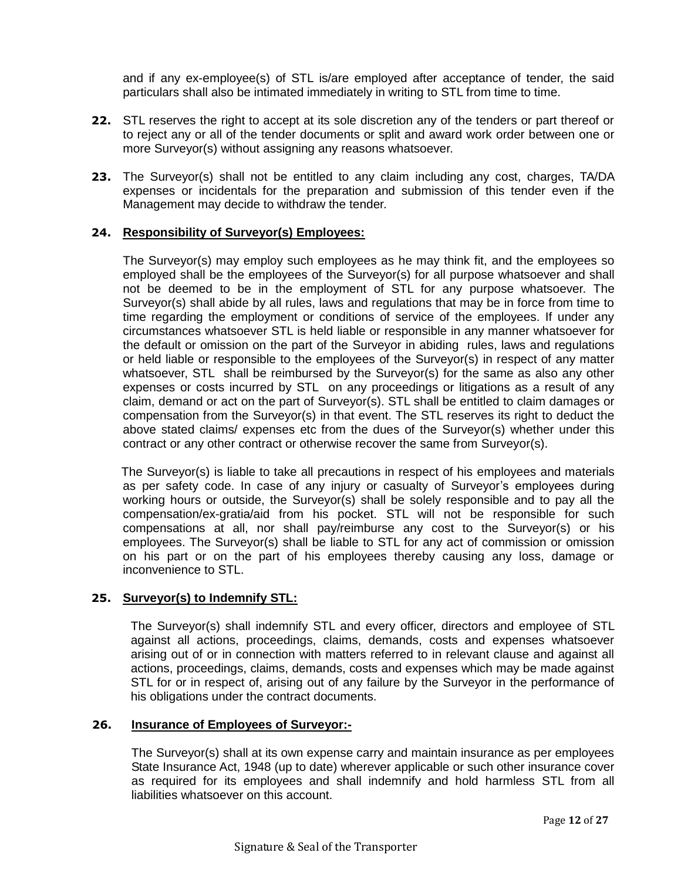and if any ex-employee(s) of STL is/are employed after acceptance of tender, the said particulars shall also be intimated immediately in writing to STL from time to time.

- **22.** STL reserves the right to accept at its sole discretion any of the tenders or part thereof or to reject any or all of the tender documents or split and award work order between one or more Surveyor(s) without assigning any reasons whatsoever.
- **23.** The Surveyor(s) shall not be entitled to any claim including any cost, charges, TA/DA expenses or incidentals for the preparation and submission of this tender even if the Management may decide to withdraw the tender.

### **24. Responsibility of Surveyor(s) Employees:**

The Surveyor(s) may employ such employees as he may think fit, and the employees so employed shall be the employees of the Surveyor(s) for all purpose whatsoever and shall not be deemed to be in the employment of STL for any purpose whatsoever. The Surveyor(s) shall abide by all rules, laws and regulations that may be in force from time to time regarding the employment or conditions of service of the employees. If under any circumstances whatsoever STL is held liable or responsible in any manner whatsoever for the default or omission on the part of the Surveyor in abiding rules, laws and regulations or held liable or responsible to the employees of the Surveyor(s) in respect of any matter whatsoever, STL shall be reimbursed by the Surveyor(s) for the same as also any other expenses or costs incurred by STL on any proceedings or litigations as a result of any claim, demand or act on the part of Surveyor(s). STL shall be entitled to claim damages or compensation from the Surveyor(s) in that event. The STL reserves its right to deduct the above stated claims/ expenses etc from the dues of the Surveyor(s) whether under this contract or any other contract or otherwise recover the same from Surveyor(s).

The Surveyor(s) is liable to take all precautions in respect of his employees and materials as per safety code. In case of any injury or casualty of Surveyor's employees during working hours or outside, the Surveyor(s) shall be solely responsible and to pay all the compensation/ex-gratia/aid from his pocket. STL will not be responsible for such compensations at all, nor shall pay/reimburse any cost to the Surveyor(s) or his employees. The Surveyor(s) shall be liable to STL for any act of commission or omission on his part or on the part of his employees thereby causing any loss, damage or inconvenience to STL.

### **25. Surveyor(s) to Indemnify STL:**

The Surveyor(s) shall indemnify STL and every officer, directors and employee of STL against all actions, proceedings, claims, demands, costs and expenses whatsoever arising out of or in connection with matters referred to in relevant clause and against all actions, proceedings, claims, demands, costs and expenses which may be made against STL for or in respect of, arising out of any failure by the Surveyor in the performance of his obligations under the contract documents.

#### **26. Insurance of Employees of Surveyor:-**

The Surveyor(s) shall at its own expense carry and maintain insurance as per employees State Insurance Act, 1948 (up to date) wherever applicable or such other insurance cover as required for its employees and shall indemnify and hold harmless STL from all liabilities whatsoever on this account.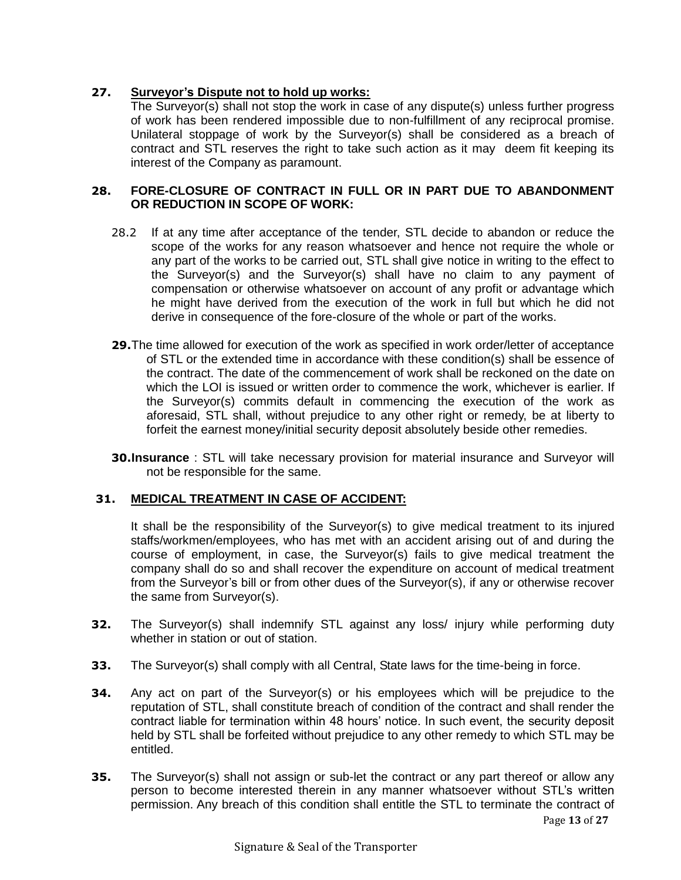### **27. Surveyor's Dispute not to hold up works:**

The Surveyor(s) shall not stop the work in case of any dispute(s) unless further progress of work has been rendered impossible due to non-fulfillment of any reciprocal promise. Unilateral stoppage of work by the Surveyor(s) shall be considered as a breach of contract and STL reserves the right to take such action as it may deem fit keeping its interest of the Company as paramount.

### **28. FORE-CLOSURE OF CONTRACT IN FULL OR IN PART DUE TO ABANDONMENT OR REDUCTION IN SCOPE OF WORK:**

- 28.2 If at any time after acceptance of the tender, STL decide to abandon or reduce the scope of the works for any reason whatsoever and hence not require the whole or any part of the works to be carried out, STL shall give notice in writing to the effect to the Surveyor(s) and the Surveyor(s) shall have no claim to any payment of compensation or otherwise whatsoever on account of any profit or advantage which he might have derived from the execution of the work in full but which he did not derive in consequence of the fore-closure of the whole or part of the works.
- **29.**The time allowed for execution of the work as specified in work order/letter of acceptance of STL or the extended time in accordance with these condition(s) shall be essence of the contract. The date of the commencement of work shall be reckoned on the date on which the LOI is issued or written order to commence the work, whichever is earlier. If the Surveyor(s) commits default in commencing the execution of the work as aforesaid, STL shall, without prejudice to any other right or remedy, be at liberty to forfeit the earnest money/initial security deposit absolutely beside other remedies.
- **30.Insurance** : STL will take necessary provision for material insurance and Surveyor will not be responsible for the same.

### **31. MEDICAL TREATMENT IN CASE OF ACCIDENT:**

It shall be the responsibility of the Surveyor(s) to give medical treatment to its injured staffs/workmen/employees, who has met with an accident arising out of and during the course of employment, in case, the Surveyor(s) fails to give medical treatment the company shall do so and shall recover the expenditure on account of medical treatment from the Surveyor's bill or from other dues of the Surveyor(s), if any or otherwise recover the same from Surveyor(s).

- **32.** The Surveyor(s) shall indemnify STL against any loss/ injury while performing duty whether in station or out of station.
- **33.** The Surveyor(s) shall comply with all Central, State laws for the time-being in force.
- **34.** Any act on part of the Surveyor(s) or his employees which will be prejudice to the reputation of STL, shall constitute breach of condition of the contract and shall render the contract liable for termination within 48 hours' notice. In such event, the security deposit held by STL shall be forfeited without prejudice to any other remedy to which STL may be entitled.
- Page **13** of **27 35.** The Surveyor(s) shall not assign or sub-let the contract or any part thereof or allow any person to become interested therein in any manner whatsoever without STL's written permission. Any breach of this condition shall entitle the STL to terminate the contract of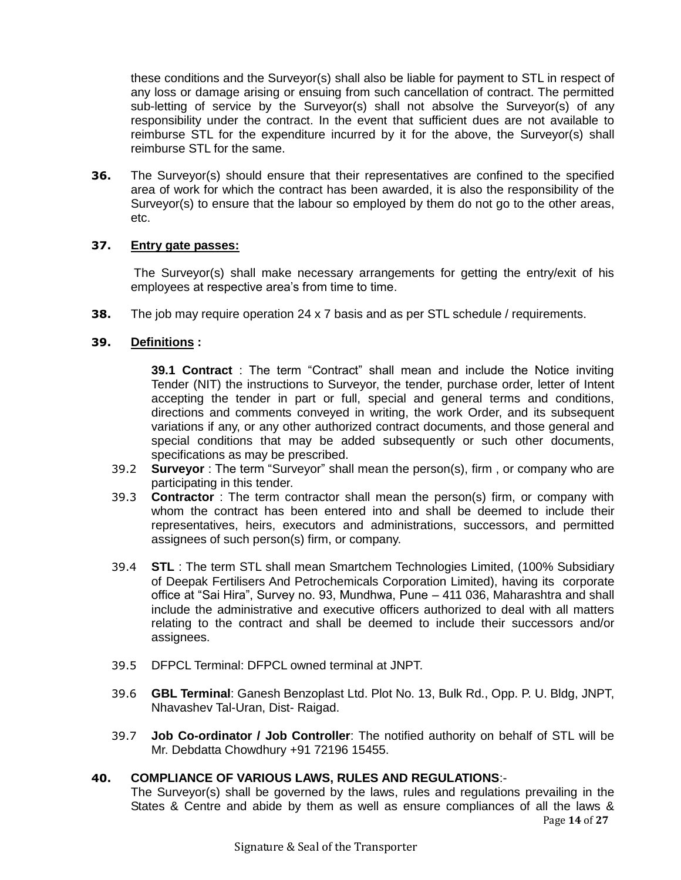these conditions and the Surveyor(s) shall also be liable for payment to STL in respect of any loss or damage arising or ensuing from such cancellation of contract. The permitted sub-letting of service by the Surveyor(s) shall not absolve the Surveyor(s) of any responsibility under the contract. In the event that sufficient dues are not available to reimburse STL for the expenditure incurred by it for the above, the Surveyor(s) shall reimburse STL for the same.

**36.** The Surveyor(s) should ensure that their representatives are confined to the specified area of work for which the contract has been awarded, it is also the responsibility of the Surveyor(s) to ensure that the labour so employed by them do not go to the other areas, etc.

### **37. Entry gate passes:**

The Surveyor(s) shall make necessary arrangements for getting the entry/exit of his employees at respective area's from time to time.

**38.** The job may require operation 24 x 7 basis and as per STL schedule / requirements.

### **39. Definitions :**

**39.1 Contract** : The term "Contract" shall mean and include the Notice inviting Tender (NIT) the instructions to Surveyor, the tender, purchase order, letter of Intent accepting the tender in part or full, special and general terms and conditions, directions and comments conveyed in writing, the work Order, and its subsequent variations if any, or any other authorized contract documents, and those general and special conditions that may be added subsequently or such other documents, specifications as may be prescribed.

- 39.2 **Surveyor** : The term "Surveyor" shall mean the person(s), firm , or company who are participating in this tender.
- 39.3 **Contractor** : The term contractor shall mean the person(s) firm, or company with whom the contract has been entered into and shall be deemed to include their representatives, heirs, executors and administrations, successors, and permitted assignees of such person(s) firm, or company.
- 39.4 **STL** : The term STL shall mean Smartchem Technologies Limited, (100% Subsidiary of Deepak Fertilisers And Petrochemicals Corporation Limited), having its corporate office at "Sai Hira", Survey no. 93, Mundhwa, Pune – 411 036, Maharashtra and shall include the administrative and executive officers authorized to deal with all matters relating to the contract and shall be deemed to include their successors and/or assignees.
- 39.5 DFPCL Terminal: DFPCL owned terminal at JNPT.
- 39.6 **GBL Terminal**: Ganesh Benzoplast Ltd. Plot No. 13, Bulk Rd., Opp. P. U. Bldg, JNPT, Nhavashev Tal-Uran, Dist- Raigad.
- 39.7 **Job Co-ordinator / Job Controller**: The notified authority on behalf of STL will be Mr. Debdatta Chowdhury +91 72196 15455.

### **40. COMPLIANCE OF VARIOUS LAWS, RULES AND REGULATIONS**:-

 Page **14** of **27** The Surveyor(s) shall be governed by the laws, rules and regulations prevailing in the States & Centre and abide by them as well as ensure compliances of all the laws &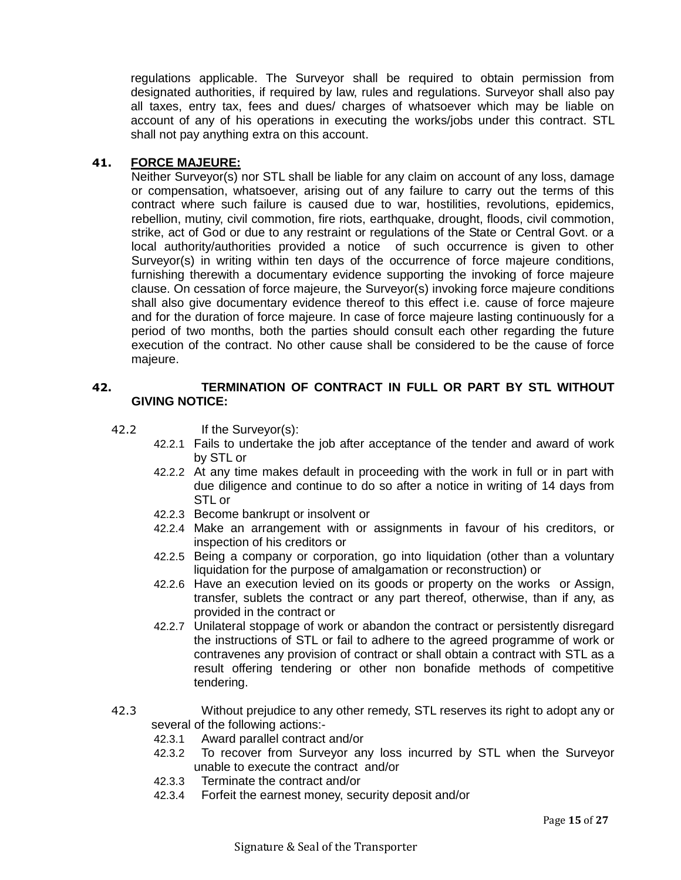regulations applicable. The Surveyor shall be required to obtain permission from designated authorities, if required by law, rules and regulations. Surveyor shall also pay all taxes, entry tax, fees and dues/ charges of whatsoever which may be liable on account of any of his operations in executing the works/jobs under this contract. STL shall not pay anything extra on this account.

### **41. FORCE MAJEURE:**

Neither Surveyor(s) nor STL shall be liable for any claim on account of any loss, damage or compensation, whatsoever, arising out of any failure to carry out the terms of this contract where such failure is caused due to war, hostilities, revolutions, epidemics, rebellion, mutiny, civil commotion, fire riots, earthquake, drought, floods, civil commotion, strike, act of God or due to any restraint or regulations of the State or Central Govt. or a local authority/authorities provided a notice of such occurrence is given to other Surveyor(s) in writing within ten days of the occurrence of force majeure conditions, furnishing therewith a documentary evidence supporting the invoking of force majeure clause. On cessation of force majeure, the Surveyor(s) invoking force majeure conditions shall also give documentary evidence thereof to this effect i.e. cause of force majeure and for the duration of force majeure. In case of force majeure lasting continuously for a period of two months, both the parties should consult each other regarding the future execution of the contract. No other cause shall be considered to be the cause of force majeure.

### **42. TERMINATION OF CONTRACT IN FULL OR PART BY STL WITHOUT GIVING NOTICE:**

- 42.2 If the Surveyor(s):
	- 42.2.1 Fails to undertake the job after acceptance of the tender and award of work by STL or
	- 42.2.2 At any time makes default in proceeding with the work in full or in part with due diligence and continue to do so after a notice in writing of 14 days from STL or
	- 42.2.3 Become bankrupt or insolvent or
	- 42.2.4 Make an arrangement with or assignments in favour of his creditors, or inspection of his creditors or
	- 42.2.5 Being a company or corporation, go into liquidation (other than a voluntary liquidation for the purpose of amalgamation or reconstruction) or
	- 42.2.6 Have an execution levied on its goods or property on the works or Assign, transfer, sublets the contract or any part thereof, otherwise, than if any, as provided in the contract or
	- 42.2.7 Unilateral stoppage of work or abandon the contract or persistently disregard the instructions of STL or fail to adhere to the agreed programme of work or contravenes any provision of contract or shall obtain a contract with STL as a result offering tendering or other non bonafide methods of competitive tendering.
- 42.3 Without prejudice to any other remedy, STL reserves its right to adopt any or several of the following actions:-
	- 42.3.1 Award parallel contract and/or
	- 42.3.2 To recover from Surveyor any loss incurred by STL when the Surveyor unable to execute the contract and/or
	- 42.3.3 Terminate the contract and/or
	- 42.3.4 Forfeit the earnest money, security deposit and/or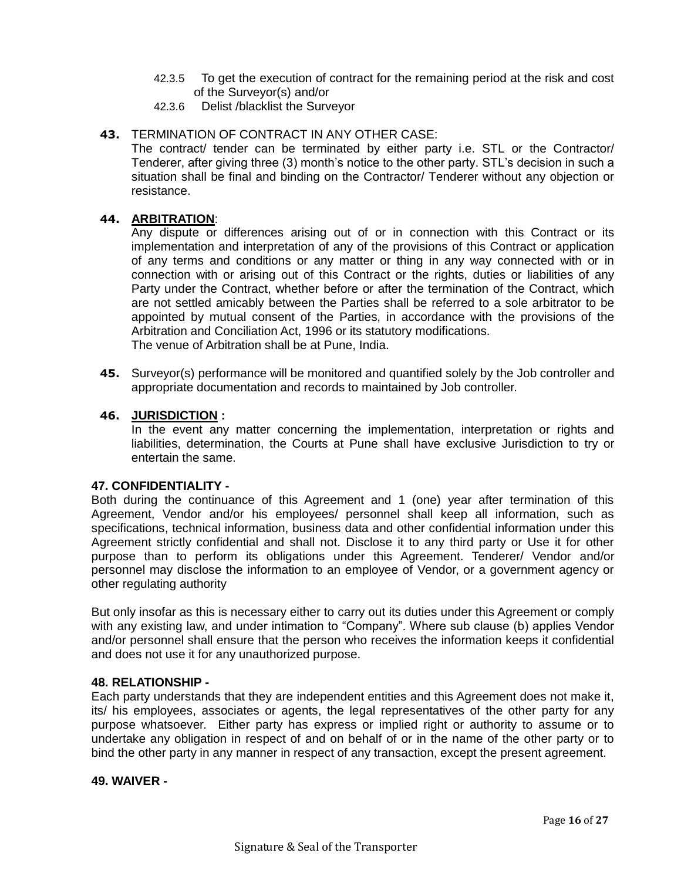- 42.3.5 To get the execution of contract for the remaining period at the risk and cost of the Surveyor(s) and/or
- 42.3.6 Delist /blacklist the Surveyor

### **43.** TERMINATION OF CONTRACT IN ANY OTHER CASE:

The contract/ tender can be terminated by either party i.e. STL or the Contractor/ Tenderer, after giving three (3) month's notice to the other party. STL's decision in such a situation shall be final and binding on the Contractor/ Tenderer without any objection or resistance.

#### **44. ARBITRATION**:

Any dispute or differences arising out of or in connection with this Contract or its implementation and interpretation of any of the provisions of this Contract or application of any terms and conditions or any matter or thing in any way connected with or in connection with or arising out of this Contract or the rights, duties or liabilities of any Party under the Contract, whether before or after the termination of the Contract, which are not settled amicably between the Parties shall be referred to a sole arbitrator to be appointed by mutual consent of the Parties, in accordance with the provisions of the Arbitration and Conciliation Act, 1996 or its statutory modifications. The venue of Arbitration shall be at Pune, India.

**45.** Surveyor(s) performance will be monitored and quantified solely by the Job controller and appropriate documentation and records to maintained by Job controller.

#### **46. JURISDICTION :**

In the event any matter concerning the implementation, interpretation or rights and liabilities, determination, the Courts at Pune shall have exclusive Jurisdiction to try or entertain the same.

#### **47. CONFIDENTIALITY -**

Both during the continuance of this Agreement and 1 (one) year after termination of this Agreement, Vendor and/or his employees/ personnel shall keep all information, such as specifications, technical information, business data and other confidential information under this Agreement strictly confidential and shall not. Disclose it to any third party or Use it for other purpose than to perform its obligations under this Agreement. Tenderer/ Vendor and/or personnel may disclose the information to an employee of Vendor, or a government agency or other regulating authority

But only insofar as this is necessary either to carry out its duties under this Agreement or comply with any existing law, and under intimation to "Company". Where sub clause (b) applies Vendor and/or personnel shall ensure that the person who receives the information keeps it confidential and does not use it for any unauthorized purpose.

#### **48. RELATIONSHIP -**

Each party understands that they are independent entities and this Agreement does not make it, its/ his employees, associates or agents, the legal representatives of the other party for any purpose whatsoever. Either party has express or implied right or authority to assume or to undertake any obligation in respect of and on behalf of or in the name of the other party or to bind the other party in any manner in respect of any transaction, except the present agreement.

#### **49. WAIVER -**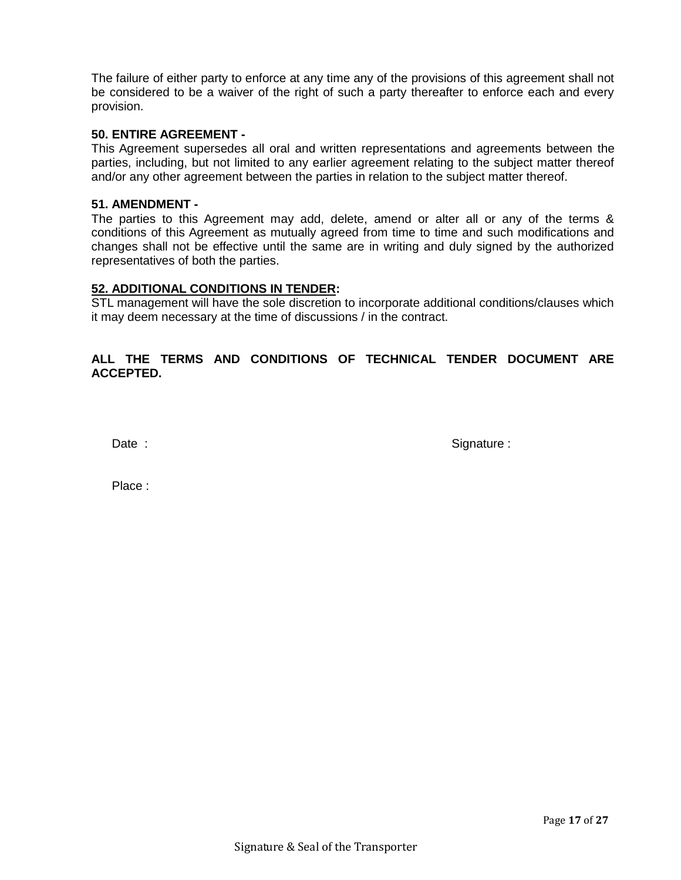The failure of either party to enforce at any time any of the provisions of this agreement shall not be considered to be a waiver of the right of such a party thereafter to enforce each and every provision.

### **50. ENTIRE AGREEMENT -**

This Agreement supersedes all oral and written representations and agreements between the parties, including, but not limited to any earlier agreement relating to the subject matter thereof and/or any other agreement between the parties in relation to the subject matter thereof.

#### **51. AMENDMENT -**

The parties to this Agreement may add, delete, amend or alter all or any of the terms & conditions of this Agreement as mutually agreed from time to time and such modifications and changes shall not be effective until the same are in writing and duly signed by the authorized representatives of both the parties.

#### **52. ADDITIONAL CONDITIONS IN TENDER:**

STL management will have the sole discretion to incorporate additional conditions/clauses which it may deem necessary at the time of discussions / in the contract.

### **ALL THE TERMS AND CONDITIONS OF TECHNICAL TENDER DOCUMENT ARE ACCEPTED.**

Date : Signature : Signature : Signature : Signature : Signature : Signature : Signature : Signature : Signature : Signature : Signature : Signature : Signature : Signature : Signature : Signature : Signature : Signature :

Place :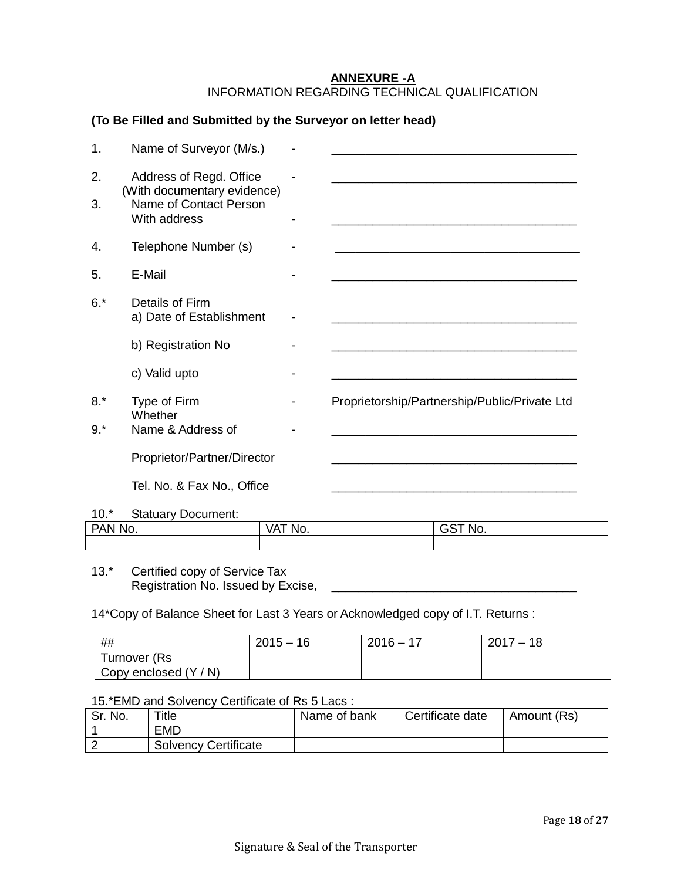### **ANNEXURE -A** INFORMATION REGARDING TECHNICAL QUALIFICATION

### **(To Be Filled and Submitted by the Surveyor on letter head)**

| 1.    | Name of Surveyor (M/s.)                                |                                               |
|-------|--------------------------------------------------------|-----------------------------------------------|
| 2.    | Address of Regd. Office<br>(With documentary evidence) |                                               |
| 3.    | Name of Contact Person<br>With address                 |                                               |
| 4.    | Telephone Number (s)                                   |                                               |
| 5.    | E-Mail                                                 |                                               |
| $6.*$ | Details of Firm<br>a) Date of Establishment            |                                               |
|       | b) Registration No                                     |                                               |
|       | c) Valid upto                                          |                                               |
| $8.*$ | Type of Firm<br>Whether                                | Proprietorship/Partnership/Public/Private Ltd |
| $9.*$ | Name & Address of                                      |                                               |
|       | Proprietor/Partner/Director                            |                                               |
|       | Tel. No. & Fax No., Office                             |                                               |

10.\* Statuary Document:

| <b>PAN</b><br>NC<br>IV. | <b>VAT</b><br>No. | 'NO. |
|-------------------------|-------------------|------|
|                         |                   |      |

13.\* Certified copy of Service Tax Registration No. Issued by Excise, \_\_\_\_\_\_\_\_\_\_\_\_\_\_\_\_\_\_\_\_\_\_\_\_\_\_\_\_\_\_\_\_\_\_\_\_

14\*Copy of Balance Sheet for Last 3 Years or Acknowledged copy of I.T. Returns :

| ##                        | $2015 -$<br>16 | $2016 -$<br>$-1$ | 2017<br>18<br>$\overline{\phantom{0}}$ |
|---------------------------|----------------|------------------|----------------------------------------|
| Turnover (Rs              |                |                  |                                        |
| Copy enclosed (Y)<br>/ N) |                |                  |                                        |

#### 15.\*EMD and Solvency Certificate of Rs 5 Lacs :

| Sr. No. | $T$ itle                    | Name of bank | Certificate date | Amount (Rs) |
|---------|-----------------------------|--------------|------------------|-------------|
|         | <b>EMD</b>                  |              |                  |             |
|         | <b>Solvency Certificate</b> |              |                  |             |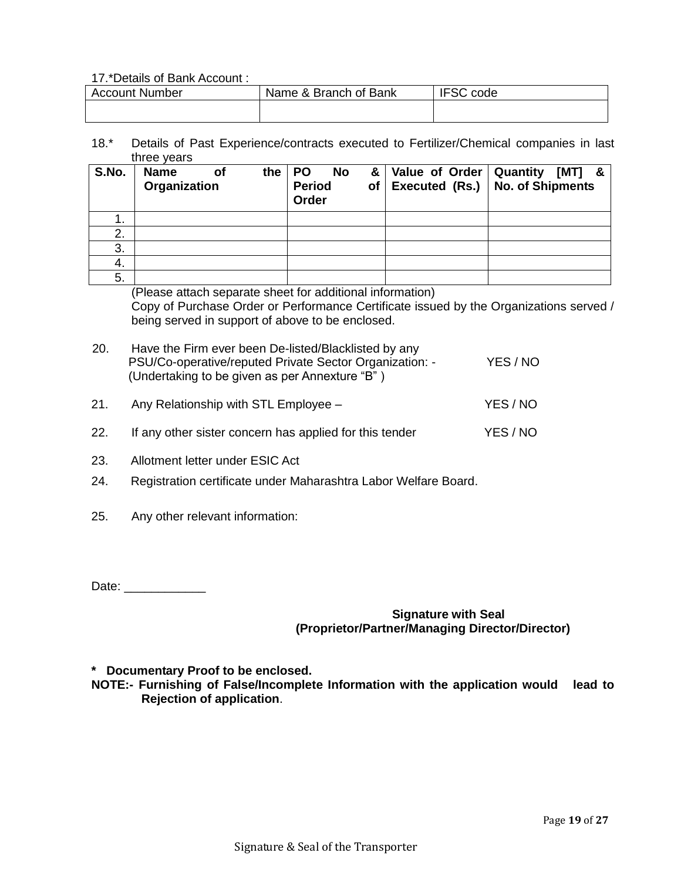#### 17.\*Details of Bank Account :

| Account Number | Name & Branch of Bank | <b>IFSC</b><br>code |
|----------------|-----------------------|---------------------|
|                |                       |                     |

18.\* Details of Past Experience/contracts executed to Fertilizer/Chemical companies in last three years

| S.No. | <b>Name</b><br>Organization | the<br>Οf | <b>PO</b><br><b>Period</b><br>Order | <b>No</b> | 8 <sub>l</sub><br>of | Value of Order   Quantity<br>Executed (Rs.) No. of Shipments | [MT] | & |
|-------|-----------------------------|-----------|-------------------------------------|-----------|----------------------|--------------------------------------------------------------|------|---|
| . .   |                             |           |                                     |           |                      |                                                              |      |   |
| 2.    |                             |           |                                     |           |                      |                                                              |      |   |
| 3.    |                             |           |                                     |           |                      |                                                              |      |   |
| 4.    |                             |           |                                     |           |                      |                                                              |      |   |
| 5.    |                             |           |                                     |           |                      |                                                              |      |   |

(Please attach separate sheet for additional information)

Copy of Purchase Order or Performance Certificate issued by the Organizations served / being served in support of above to be enclosed.

| 20. | Have the Firm ever been De-listed/Blacklisted by any    |          |
|-----|---------------------------------------------------------|----------|
|     | PSU/Co-operative/reputed Private Sector Organization: - | YES / NO |
|     | (Undertaking to be given as per Annexture "B")          |          |
|     |                                                         |          |

- 21. Any Relationship with STL Employee YES / NO
- 22. If any other sister concern has applied for this tender YES / NO
- 23. Allotment letter under ESIC Act
- 24. Registration certificate under Maharashtra Labor Welfare Board.
- 25. Any other relevant information:

Date: \_\_\_\_\_\_\_\_\_\_\_\_

### **Signature with Seal (Proprietor/Partner/Managing Director/Director)**

**\* Documentary Proof to be enclosed.** 

**NOTE:- Furnishing of False/Incomplete Information with the application would lead to Rejection of application**.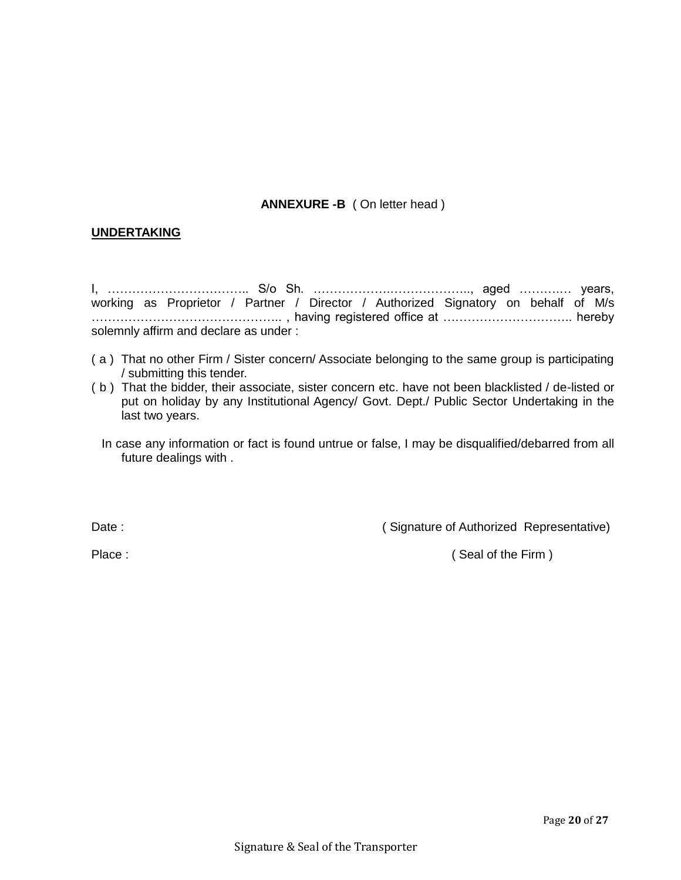### **ANNEXURE -B** ( On letter head )

### **UNDERTAKING**

I, …………………………….. S/o Sh. ……………….……………….., aged ……….… years, working as Proprietor / Partner / Director / Authorized Signatory on behalf of M/s ……………………………………….. , having registered office at ………………………….. hereby solemnly affirm and declare as under :

- ( a ) That no other Firm / Sister concern/ Associate belonging to the same group is participating / submitting this tender.
- ( b ) That the bidder, their associate, sister concern etc. have not been blacklisted / de-listed or put on holiday by any Institutional Agency/ Govt. Dept./ Public Sector Undertaking in the last two years.
	- In case any information or fact is found untrue or false, I may be disqualified/debarred from all future dealings with .

Date : Contract Contract Contract Contract Contract Contract Contract Contract Contract Contract Contract Contract Contract Contract Contract Contract Contract Contract Contract Contract Contract Contract Contract Contract

Place : ( Seal of the Firm )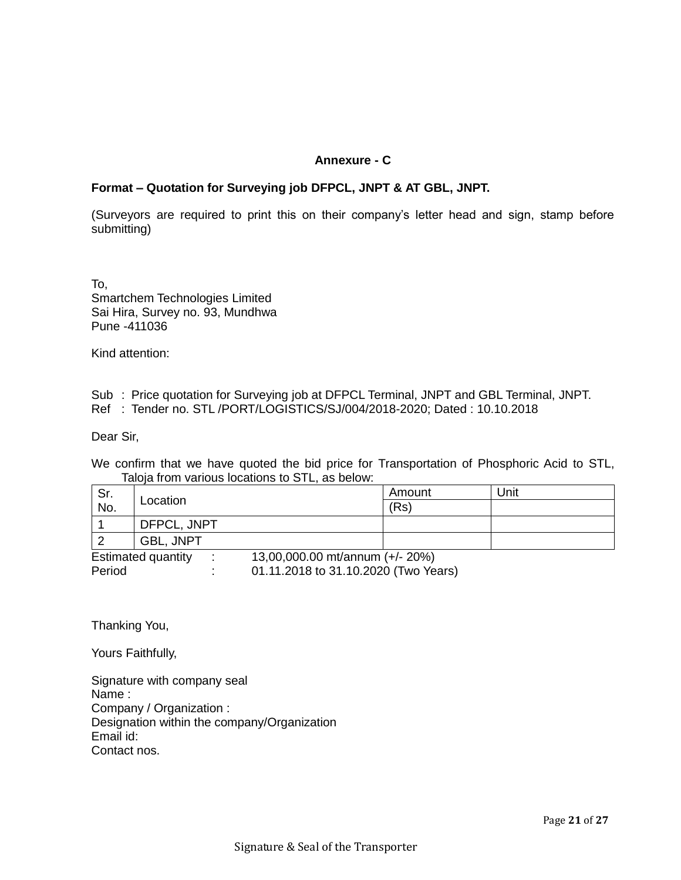### **Annexure - C**

### **Format – Quotation for Surveying job DFPCL, JNPT & AT GBL, JNPT.**

(Surveyors are required to print this on their company's letter head and sign, stamp before submitting)

To, Smartchem Technologies Limited Sai Hira, Survey no. 93, Mundhwa Pune -411036

Kind attention:

Sub : Price quotation for Surveying job at DFPCL Terminal, JNPT and GBL Terminal, JNPT. Ref : Tender no. STL /PORT/LOGISTICS/SJ/004/2018-2020; Dated : 10.10.2018

Dear Sir,

We confirm that we have quoted the bid price for Transportation of Phosphoric Acid to STL, Taloja from various locations to STL, as below:

| Sr.                       | Location         |                                      | Amount | Unit |
|---------------------------|------------------|--------------------------------------|--------|------|
| No.                       |                  |                                      | (Rs)   |      |
|                           | DFPCL, JNPT      |                                      |        |      |
|                           | <b>GBL. JNPT</b> |                                      |        |      |
| <b>Estimated quantity</b> |                  | 13,00,000.00 mt/annum (+/- 20%)      |        |      |
| Period                    |                  | 01.11.2018 to 31.10.2020 (Two Years) |        |      |

Thanking You,

Yours Faithfully,

Signature with company seal Name : Company / Organization : Designation within the company/Organization Email id: Contact nos.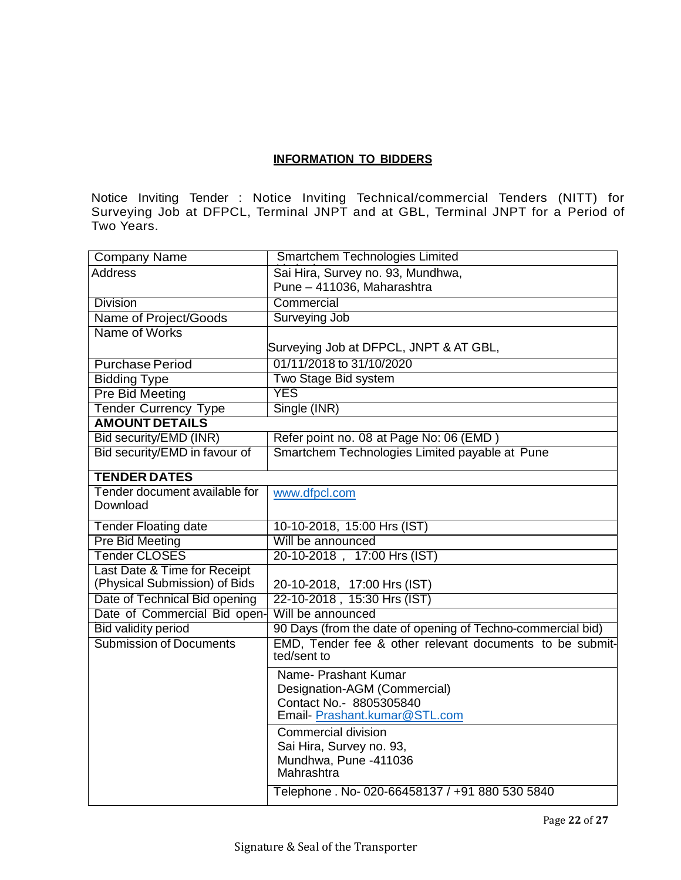### **INFORMATION TO BIDDERS**

Notice Inviting Tender : Notice Inviting Technical/commercial Tenders (NITT) for Surveying Job at DFPCL, Terminal JNPT and at GBL, Terminal JNPT for a Period of Two Years.

| <b>Company Name</b>            | Smartchem Technologies Limited                                                                                                          |
|--------------------------------|-----------------------------------------------------------------------------------------------------------------------------------------|
| <b>Address</b>                 | Sai Hira, Survey no. 93, Mundhwa,                                                                                                       |
|                                | Pune - 411036, Maharashtra                                                                                                              |
| <b>Division</b>                | Commercial                                                                                                                              |
| Name of Project/Goods          | Surveying Job                                                                                                                           |
| Name of Works                  |                                                                                                                                         |
|                                | Surveying Job at DFPCL, JNPT & AT GBL,                                                                                                  |
| <b>Purchase Period</b>         | 01/11/2018 to 31/10/2020                                                                                                                |
| <b>Bidding Type</b>            | Two Stage Bid system                                                                                                                    |
| <b>Pre Bid Meeting</b>         | <b>YES</b>                                                                                                                              |
| <b>Tender Currency Type</b>    | Single (INR)                                                                                                                            |
| <b>AMOUNT DETAILS</b>          |                                                                                                                                         |
| Bid security/EMD (INR)         | Refer point no. 08 at Page No: 06 (EMD)                                                                                                 |
| Bid security/EMD in favour of  | Smartchem Technologies Limited payable at Pune                                                                                          |
| <b>TENDER DATES</b>            |                                                                                                                                         |
| Tender document available for  | www.dfpcl.com                                                                                                                           |
| Download                       |                                                                                                                                         |
| <b>Tender Floating date</b>    | 10-10-2018, 15:00 Hrs (IST)                                                                                                             |
| <b>Pre Bid Meeting</b>         | Will be announced                                                                                                                       |
| <b>Tender CLOSES</b>           | 20-10-2018, 17:00 Hrs (IST)                                                                                                             |
| Last Date & Time for Receipt   |                                                                                                                                         |
| (Physical Submission) of Bids  | 20-10-2018, 17:00 Hrs (IST)                                                                                                             |
| Date of Technical Bid opening  | 22-10-2018, 15:30 Hrs (IST)                                                                                                             |
| Date of Commercial Bid open-   | Will be announced                                                                                                                       |
| <b>Bid validity period</b>     | 90 Days (from the date of opening of Techno-commercial bid)                                                                             |
| <b>Submission of Documents</b> | EMD. Tender fee & other relevant documents to be submit-<br>ted/sent to                                                                 |
|                                | Name- Prashant Kumar<br>Designation-AGM (Commercial)<br>Contact No.- 8805305840<br>Email-Prashant.kumar@STL.com                         |
|                                | Commercial division<br>Sai Hira, Survey no. 93,<br>Mundhwa, Pune -411036<br>Mahrashtra<br>Telephone. No-020-66458137 / +91 880 530 5840 |
|                                |                                                                                                                                         |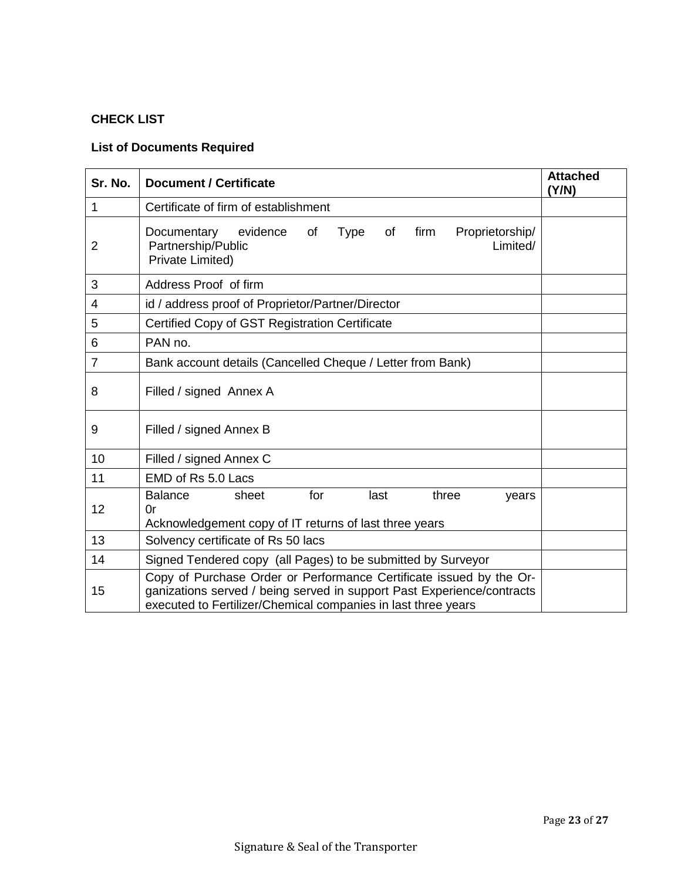# **CHECK LIST**

# **List of Documents Required**

| Sr. No. | <b>Document / Certificate</b>                                                                                                                                                                                  | <b>Attached</b><br>(Y/N) |  |  |  |  |
|---------|----------------------------------------------------------------------------------------------------------------------------------------------------------------------------------------------------------------|--------------------------|--|--|--|--|
| 1       | Certificate of firm of establishment                                                                                                                                                                           |                          |  |  |  |  |
| 2       | <b>Type</b><br>firm<br>Proprietorship/<br>Documentary<br>evidence<br>of<br>of<br>Partnership/Public<br>Limited/<br>Private Limited)                                                                            |                          |  |  |  |  |
| 3       | Address Proof of firm                                                                                                                                                                                          |                          |  |  |  |  |
| 4       | id / address proof of Proprietor/Partner/Director                                                                                                                                                              |                          |  |  |  |  |
| 5       | Certified Copy of GST Registration Certificate                                                                                                                                                                 |                          |  |  |  |  |
| 6       | PAN no.                                                                                                                                                                                                        |                          |  |  |  |  |
| 7       | Bank account details (Cancelled Cheque / Letter from Bank)                                                                                                                                                     |                          |  |  |  |  |
| 8       | Filled / signed Annex A                                                                                                                                                                                        |                          |  |  |  |  |
| 9       | Filled / signed Annex B                                                                                                                                                                                        |                          |  |  |  |  |
| 10      | Filled / signed Annex C                                                                                                                                                                                        |                          |  |  |  |  |
| 11      | EMD of Rs 5.0 Lacs                                                                                                                                                                                             |                          |  |  |  |  |
| 12      | <b>Balance</b><br>for<br>sheet<br>last<br>three<br>years<br>0r<br>Acknowledgement copy of IT returns of last three years                                                                                       |                          |  |  |  |  |
| 13      | Solvency certificate of Rs 50 lacs                                                                                                                                                                             |                          |  |  |  |  |
| 14      | Signed Tendered copy (all Pages) to be submitted by Surveyor                                                                                                                                                   |                          |  |  |  |  |
| 15      | Copy of Purchase Order or Performance Certificate issued by the Or-<br>ganizations served / being served in support Past Experience/contracts<br>executed to Fertilizer/Chemical companies in last three years |                          |  |  |  |  |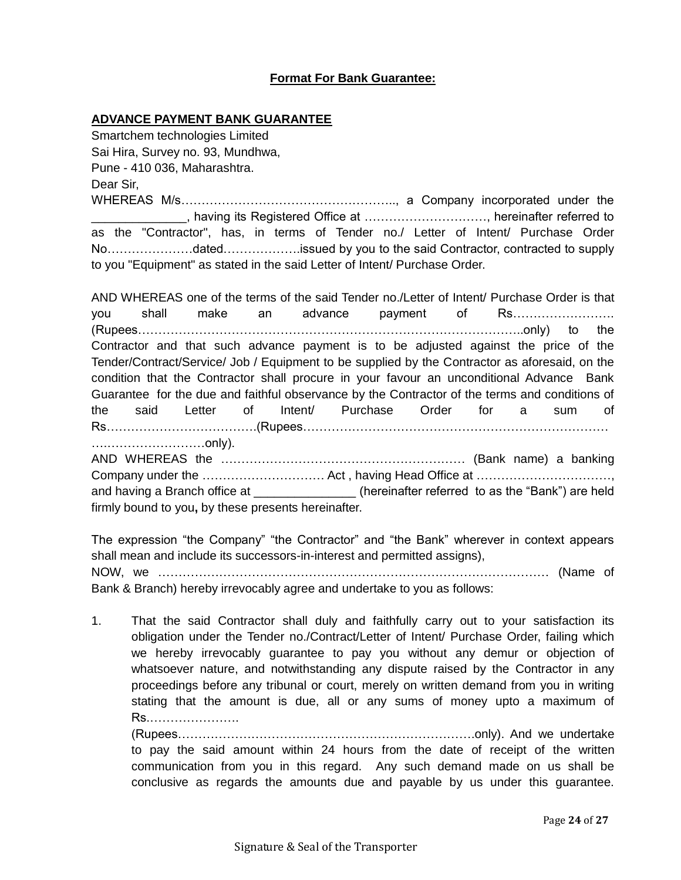### **Format For Bank Guarantee:**

#### **ADVANCE PAYMENT BANK GUARANTEE**

Smartchem technologies Limited Sai Hira, Survey no. 93, Mundhwa, Pune - 410 036, Maharashtra. Dear Sir,

WHEREAS M/s…………………………………………….., a Company incorporated under the \_\_\_\_\_\_\_\_\_\_\_\_\_\_, having its Registered Office at …………………………, hereinafter referred to as the "Contractor", has, in terms of Tender no./ Letter of Intent/ Purchase Order No…………………dated……………….issued by you to the said Contractor, contracted to supply to you "Equipment" as stated in the said Letter of Intent/ Purchase Order.

AND WHEREAS one of the terms of the said Tender no./Letter of Intent/ Purchase Order is that you shall make an advance payment of Rs……………………. (Rupees…………………………………………………………………………………..only) to the Contractor and that such advance payment is to be adjusted against the price of the Tender/Contract/Service/ Job / Equipment to be supplied by the Contractor as aforesaid, on the condition that the Contractor shall procure in your favour an unconditional Advance Bank Guarantee for the due and faithful observance by the Contractor of the terms and conditions of the said Letter of Intent/ Purchase Order for a sum of Rs……………………………….(Rupees………………………………………………………………… ….……………………only).

AND WHEREAS the …………………………………………………… (Bank name) a banking Company under the ………………………… Act , having Head Office at ……………………………, and having a Branch office at  $\qquad \qquad$  (hereinafter referred to as the "Bank") are held firmly bound to you**,** by these presents hereinafter.

The expression "the Company" "the Contractor" and "the Bank" wherever in context appears shall mean and include its successors-in-interest and permitted assigns), NOW, we …………………………………………………………………………………… (Name of Bank & Branch) hereby irrevocably agree and undertake to you as follows:

1. That the said Contractor shall duly and faithfully carry out to your satisfaction its obligation under the Tender no./Contract/Letter of Intent/ Purchase Order, failing which we hereby irrevocably guarantee to pay you without any demur or objection of whatsoever nature, and notwithstanding any dispute raised by the Contractor in any proceedings before any tribunal or court, merely on written demand from you in writing stating that the amount is due, all or any sums of money upto a maximum of Rs.………………….

(Rupees……………………………………………………………….only). And we undertake to pay the said amount within 24 hours from the date of receipt of the written communication from you in this regard. Any such demand made on us shall be conclusive as regards the amounts due and payable by us under this guarantee.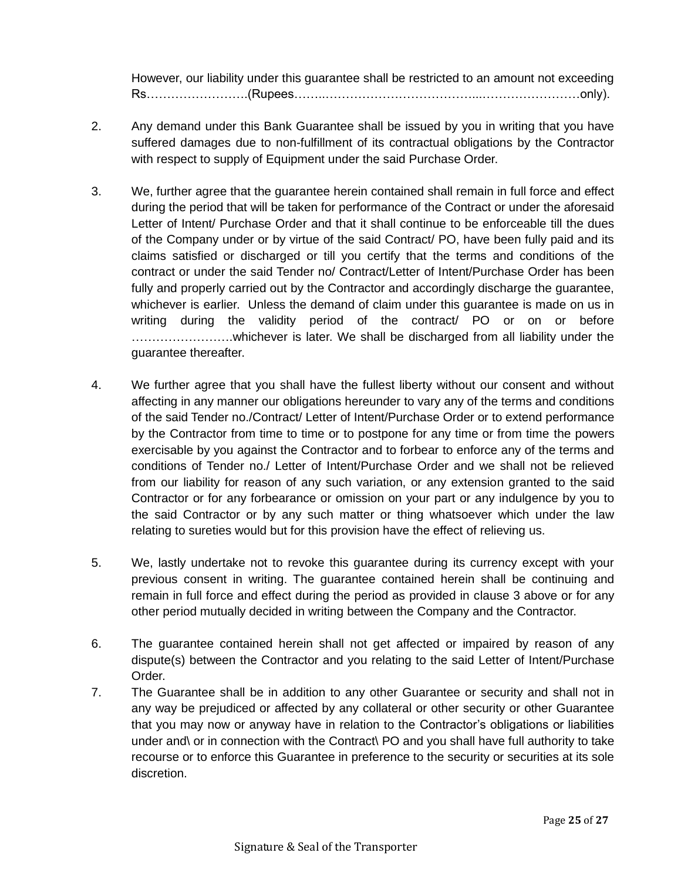However, our liability under this guarantee shall be restricted to an amount not exceeding Rs…………………….(Rupees……..………………………………...……………………only).

- 2. Any demand under this Bank Guarantee shall be issued by you in writing that you have suffered damages due to non-fulfillment of its contractual obligations by the Contractor with respect to supply of Equipment under the said Purchase Order.
- 3. We, further agree that the guarantee herein contained shall remain in full force and effect during the period that will be taken for performance of the Contract or under the aforesaid Letter of Intent/ Purchase Order and that it shall continue to be enforceable till the dues of the Company under or by virtue of the said Contract/ PO, have been fully paid and its claims satisfied or discharged or till you certify that the terms and conditions of the contract or under the said Tender no/ Contract/Letter of Intent/Purchase Order has been fully and properly carried out by the Contractor and accordingly discharge the guarantee, whichever is earlier. Unless the demand of claim under this guarantee is made on us in writing during the validity period of the contract/ PO or on or before …………………….whichever is later. We shall be discharged from all liability under the guarantee thereafter.
- 4. We further agree that you shall have the fullest liberty without our consent and without affecting in any manner our obligations hereunder to vary any of the terms and conditions of the said Tender no./Contract/ Letter of Intent/Purchase Order or to extend performance by the Contractor from time to time or to postpone for any time or from time the powers exercisable by you against the Contractor and to forbear to enforce any of the terms and conditions of Tender no./ Letter of Intent/Purchase Order and we shall not be relieved from our liability for reason of any such variation, or any extension granted to the said Contractor or for any forbearance or omission on your part or any indulgence by you to the said Contractor or by any such matter or thing whatsoever which under the law relating to sureties would but for this provision have the effect of relieving us.
- 5. We, lastly undertake not to revoke this guarantee during its currency except with your previous consent in writing. The guarantee contained herein shall be continuing and remain in full force and effect during the period as provided in clause 3 above or for any other period mutually decided in writing between the Company and the Contractor.
- 6. The guarantee contained herein shall not get affected or impaired by reason of any dispute(s) between the Contractor and you relating to the said Letter of Intent/Purchase Order.
- 7. The Guarantee shall be in addition to any other Guarantee or security and shall not in any way be prejudiced or affected by any collateral or other security or other Guarantee that you may now or anyway have in relation to the Contractor's obligations or liabilities under and\ or in connection with the Contract\ PO and you shall have full authority to take recourse or to enforce this Guarantee in preference to the security or securities at its sole discretion.